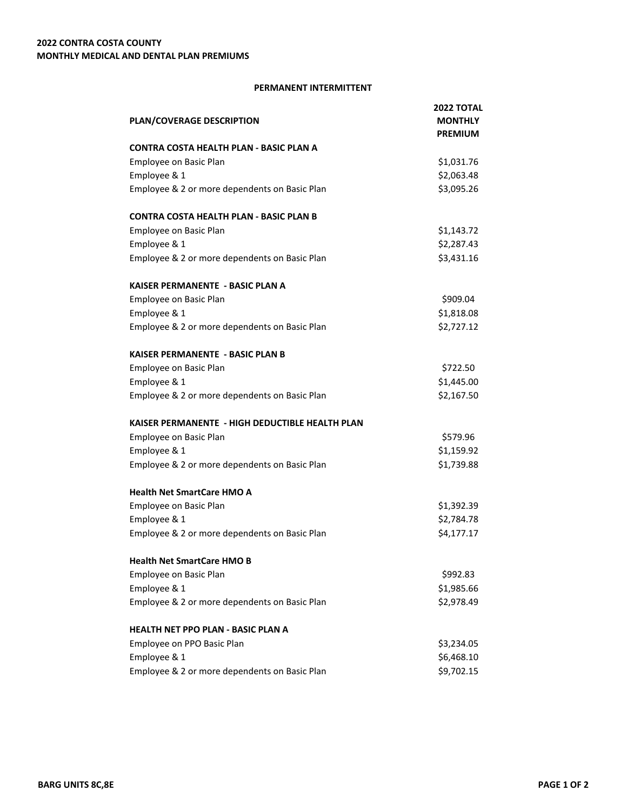## **PERMANENT INTERMITTENT**

|                                                 | <b>2022 TOTAL</b> |
|-------------------------------------------------|-------------------|
| PLAN/COVERAGE DESCRIPTION                       | <b>MONTHLY</b>    |
|                                                 | <b>PREMIUM</b>    |
| CONTRA COSTA HEALTH PLAN - BASIC PLAN A         |                   |
| Employee on Basic Plan                          | \$1,031.76        |
| Employee & 1                                    | \$2,063.48        |
| Employee & 2 or more dependents on Basic Plan   | \$3,095.26        |
| <b>CONTRA COSTA HEALTH PLAN - BASIC PLAN B</b>  |                   |
| <b>Employee on Basic Plan</b>                   | \$1,143.72        |
| Employee & 1                                    | \$2,287.43        |
| Employee & 2 or more dependents on Basic Plan   | \$3,431.16        |
| KAISER PERMANENTE - BASIC PLAN A                |                   |
| Employee on Basic Plan                          | \$909.04          |
| Employee & 1                                    | \$1,818.08        |
| Employee & 2 or more dependents on Basic Plan   | \$2,727.12        |
| <b>KAISER PERMANENTE - BASIC PLAN B</b>         |                   |
| Employee on Basic Plan                          | \$722.50          |
| Employee & 1                                    | \$1,445.00        |
| Employee & 2 or more dependents on Basic Plan   | \$2,167.50        |
| KAISER PERMANENTE - HIGH DEDUCTIBLE HEALTH PLAN |                   |
| Employee on Basic Plan                          | \$579.96          |
| Employee & 1                                    | \$1,159.92        |
| Employee & 2 or more dependents on Basic Plan   | \$1,739.88        |
| <b>Health Net SmartCare HMO A</b>               |                   |
| Employee on Basic Plan                          | \$1,392.39        |
| Employee & 1                                    | \$2,784.78        |
| Employee & 2 or more dependents on Basic Plan   | \$4,177.17        |
| <b>Health Net SmartCare HMO B</b>               |                   |
| Employee on Basic Plan                          | \$992.83          |
| Employee & 1                                    | \$1,985.66        |
| Employee & 2 or more dependents on Basic Plan   | \$2,978.49        |
| <b>HEALTH NET PPO PLAN - BASIC PLAN A</b>       |                   |
| Employee on PPO Basic Plan                      | \$3,234.05        |
| Employee & 1                                    | \$6,468.10        |
| Employee & 2 or more dependents on Basic Plan   | \$9,702.15        |